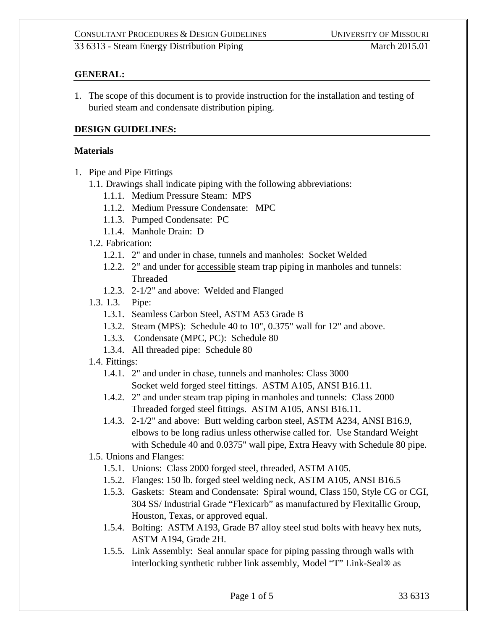## **GENERAL:**

1. The scope of this document is to provide instruction for the installation and testing of buried steam and condensate distribution piping.

## **DESIGN GUIDELINES:**

#### **Materials**

- 1. Pipe and Pipe Fittings
	- 1.1. Drawings shall indicate piping with the following abbreviations:
		- 1.1.1. Medium Pressure Steam: MPS
		- 1.1.2. Medium Pressure Condensate: MPC
		- 1.1.3. Pumped Condensate: PC
		- 1.1.4. Manhole Drain: D
	- 1.2. Fabrication:
		- 1.2.1. 2" and under in chase, tunnels and manholes: Socket Welded
		- 1.2.2. 2" and under for accessible steam trap piping in manholes and tunnels: Threaded
		- 1.2.3. 2-1/2" and above: Welded and Flanged
	- 1.3. 1.3. Pipe:
		- 1.3.1. Seamless Carbon Steel, ASTM A53 Grade B
		- 1.3.2. Steam (MPS): Schedule 40 to 10", 0.375" wall for 12" and above.
		- 1.3.3. Condensate (MPC, PC): Schedule 80
		- 1.3.4. All threaded pipe: Schedule 80
	- 1.4. Fittings:
		- 1.4.1. 2" and under in chase, tunnels and manholes: Class 3000 Socket weld forged steel fittings. ASTM A105, ANSI B16.11.
		- 1.4.2. 2" and under steam trap piping in manholes and tunnels: Class 2000 Threaded forged steel fittings. ASTM A105, ANSI B16.11.
		- 1.4.3. 2-1/2" and above: Butt welding carbon steel, ASTM A234, ANSI B16.9, elbows to be long radius unless otherwise called for. Use Standard Weight with Schedule 40 and 0.0375" wall pipe, Extra Heavy with Schedule 80 pipe.
	- 1.5. Unions and Flanges:
		- 1.5.1. Unions: Class 2000 forged steel, threaded, ASTM A105.
		- 1.5.2. Flanges: 150 lb. forged steel welding neck, ASTM A105, ANSI B16.5
		- 1.5.3. Gaskets: Steam and Condensate: Spiral wound, Class 150, Style CG or CGI, 304 SS/ Industrial Grade "Flexicarb" as manufactured by Flexitallic Group, Houston, Texas, or approved equal.
		- 1.5.4. Bolting: ASTM A193, Grade B7 alloy steel stud bolts with heavy hex nuts, ASTM A194, Grade 2H.
		- 1.5.5. Link Assembly: Seal annular space for piping passing through walls with interlocking synthetic rubber link assembly, Model "T" Link-Seal® as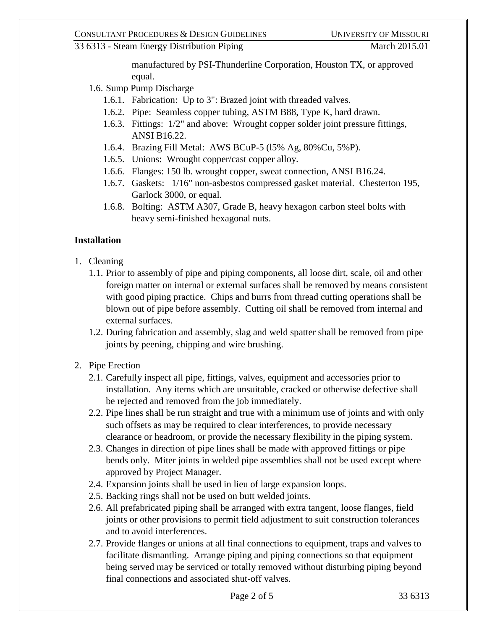33 6313 - Steam Energy Distribution Piping March 2015.01

manufactured by PSI-Thunderline Corporation, Houston TX, or approved equal.

- 1.6. Sump Pump Discharge
	- 1.6.1. Fabrication: Up to 3": Brazed joint with threaded valves.
	- 1.6.2. Pipe: Seamless copper tubing, ASTM B88, Type K, hard drawn.
	- 1.6.3. Fittings: 1/2" and above: Wrought copper solder joint pressure fittings, ANSI B16.22.
	- 1.6.4. Brazing Fill Metal: AWS BCuP-5 (l5% Ag, 80%Cu, 5%P).
	- 1.6.5. Unions: Wrought copper/cast copper alloy.
	- 1.6.6. Flanges: 150 lb. wrought copper, sweat connection, ANSI B16.24.
	- 1.6.7. Gaskets: 1/16" non-asbestos compressed gasket material. Chesterton 195, Garlock 3000, or equal.
	- 1.6.8. Bolting: ASTM A307, Grade B, heavy hexagon carbon steel bolts with heavy semi-finished hexagonal nuts.

# **Installation**

- 1. Cleaning
	- 1.1. Prior to assembly of pipe and piping components, all loose dirt, scale, oil and other foreign matter on internal or external surfaces shall be removed by means consistent with good piping practice. Chips and burrs from thread cutting operations shall be blown out of pipe before assembly. Cutting oil shall be removed from internal and external surfaces.
	- 1.2. During fabrication and assembly, slag and weld spatter shall be removed from pipe joints by peening, chipping and wire brushing.
- 2. Pipe Erection
	- 2.1. Carefully inspect all pipe, fittings, valves, equipment and accessories prior to installation. Any items which are unsuitable, cracked or otherwise defective shall be rejected and removed from the job immediately.
	- 2.2. Pipe lines shall be run straight and true with a minimum use of joints and with only such offsets as may be required to clear interferences, to provide necessary clearance or headroom, or provide the necessary flexibility in the piping system.
	- 2.3. Changes in direction of pipe lines shall be made with approved fittings or pipe bends only. Miter joints in welded pipe assemblies shall not be used except where approved by Project Manager.
	- 2.4. Expansion joints shall be used in lieu of large expansion loops.
	- 2.5. Backing rings shall not be used on butt welded joints.
	- 2.6. All prefabricated piping shall be arranged with extra tangent, loose flanges, field joints or other provisions to permit field adjustment to suit construction tolerances and to avoid interferences.
	- 2.7. Provide flanges or unions at all final connections to equipment, traps and valves to facilitate dismantling. Arrange piping and piping connections so that equipment being served may be serviced or totally removed without disturbing piping beyond final connections and associated shut-off valves.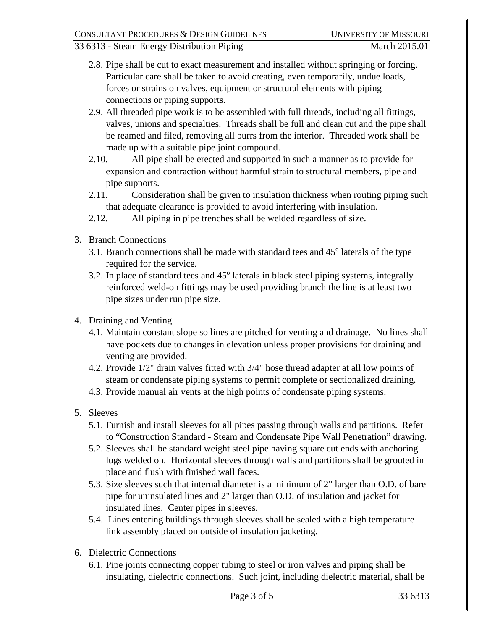#### 33 6313 - Steam Energy Distribution Piping March 2015.01

- 2.8. Pipe shall be cut to exact measurement and installed without springing or forcing. Particular care shall be taken to avoid creating, even temporarily, undue loads, forces or strains on valves, equipment or structural elements with piping connections or piping supports.
- 2.9. All threaded pipe work is to be assembled with full threads, including all fittings, valves, unions and specialties. Threads shall be full and clean cut and the pipe shall be reamed and filed, removing all burrs from the interior. Threaded work shall be made up with a suitable pipe joint compound.
- 2.10. All pipe shall be erected and supported in such a manner as to provide for expansion and contraction without harmful strain to structural members, pipe and pipe supports.
- 2.11. Consideration shall be given to insulation thickness when routing piping such that adequate clearance is provided to avoid interfering with insulation.
- 2.12. All piping in pipe trenches shall be welded regardless of size.
- 3. Branch Connections
	- 3.1. Branch connections shall be made with standard tees and  $45^{\circ}$  laterals of the type required for the service.
	- 3.2. In place of standard tees and  $45^{\circ}$  laterals in black steel piping systems, integrally reinforced weld-on fittings may be used providing branch the line is at least two pipe sizes under run pipe size.
- 4. Draining and Venting
	- 4.1. Maintain constant slope so lines are pitched for venting and drainage. No lines shall have pockets due to changes in elevation unless proper provisions for draining and venting are provided.
	- 4.2. Provide 1/2" drain valves fitted with 3/4" hose thread adapter at all low points of steam or condensate piping systems to permit complete or sectionalized draining.
	- 4.3. Provide manual air vents at the high points of condensate piping systems.
- 5. Sleeves
	- 5.1. Furnish and install sleeves for all pipes passing through walls and partitions. Refer to "Construction Standard - Steam and Condensate Pipe Wall Penetration" drawing.
	- 5.2. Sleeves shall be standard weight steel pipe having square cut ends with anchoring lugs welded on. Horizontal sleeves through walls and partitions shall be grouted in place and flush with finished wall faces.
	- 5.3. Size sleeves such that internal diameter is a minimum of 2" larger than O.D. of bare pipe for uninsulated lines and 2" larger than O.D. of insulation and jacket for insulated lines. Center pipes in sleeves.
	- 5.4. Lines entering buildings through sleeves shall be sealed with a high temperature link assembly placed on outside of insulation jacketing.
- 6. Dielectric Connections
	- 6.1. Pipe joints connecting copper tubing to steel or iron valves and piping shall be insulating, dielectric connections. Such joint, including dielectric material, shall be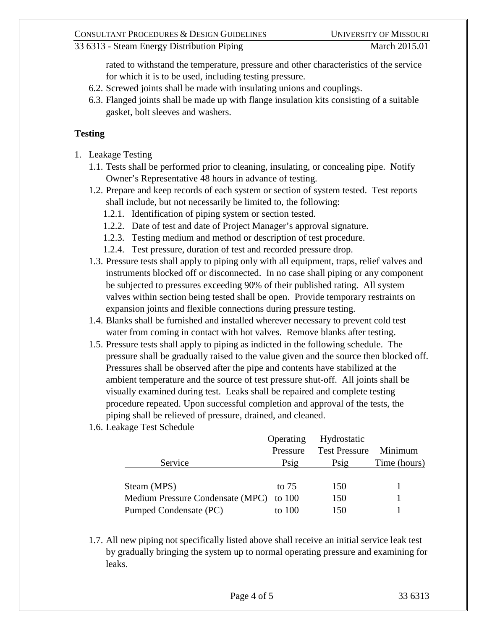33 6313 - Steam Energy Distribution Piping March 2015.01

rated to withstand the temperature, pressure and other characteristics of the service for which it is to be used, including testing pressure.

- 6.2. Screwed joints shall be made with insulating unions and couplings.
- 6.3. Flanged joints shall be made up with flange insulation kits consisting of a suitable gasket, bolt sleeves and washers.

### **Testing**

- 1. Leakage Testing
	- 1.1. Tests shall be performed prior to cleaning, insulating, or concealing pipe. Notify Owner's Representative 48 hours in advance of testing.
	- 1.2. Prepare and keep records of each system or section of system tested. Test reports shall include, but not necessarily be limited to, the following:
		- 1.2.1. Identification of piping system or section tested.
		- 1.2.2. Date of test and date of Project Manager's approval signature.
		- 1.2.3. Testing medium and method or description of test procedure.
		- 1.2.4. Test pressure, duration of test and recorded pressure drop.
	- 1.3. Pressure tests shall apply to piping only with all equipment, traps, relief valves and instruments blocked off or disconnected. In no case shall piping or any component be subjected to pressures exceeding 90% of their published rating. All system valves within section being tested shall be open. Provide temporary restraints on expansion joints and flexible connections during pressure testing.
	- 1.4. Blanks shall be furnished and installed wherever necessary to prevent cold test water from coming in contact with hot valves. Remove blanks after testing.
	- 1.5. Pressure tests shall apply to piping as indicted in the following schedule. The pressure shall be gradually raised to the value given and the source then blocked off. Pressures shall be observed after the pipe and contents have stabilized at the ambient temperature and the source of test pressure shut-off. All joints shall be visually examined during test. Leaks shall be repaired and complete testing procedure repeated. Upon successful completion and approval of the tests, the piping shall be relieved of pressure, drained, and cleaned.
	- 1.6. Leakage Test Schedule

| <b>Test Pressure</b><br>Pressure               | Minimum      |
|------------------------------------------------|--------------|
| Service<br>Psig<br>$P$ sig                     | Time (hours) |
|                                                |              |
| Steam (MPS)<br>to $75$<br>150                  |              |
| Medium Pressure Condensate (MPC) to 100<br>150 |              |
| Pumped Condensate (PC)<br>150<br>to $100$      |              |

1.7. All new piping not specifically listed above shall receive an initial service leak test by gradually bringing the system up to normal operating pressure and examining for leaks.